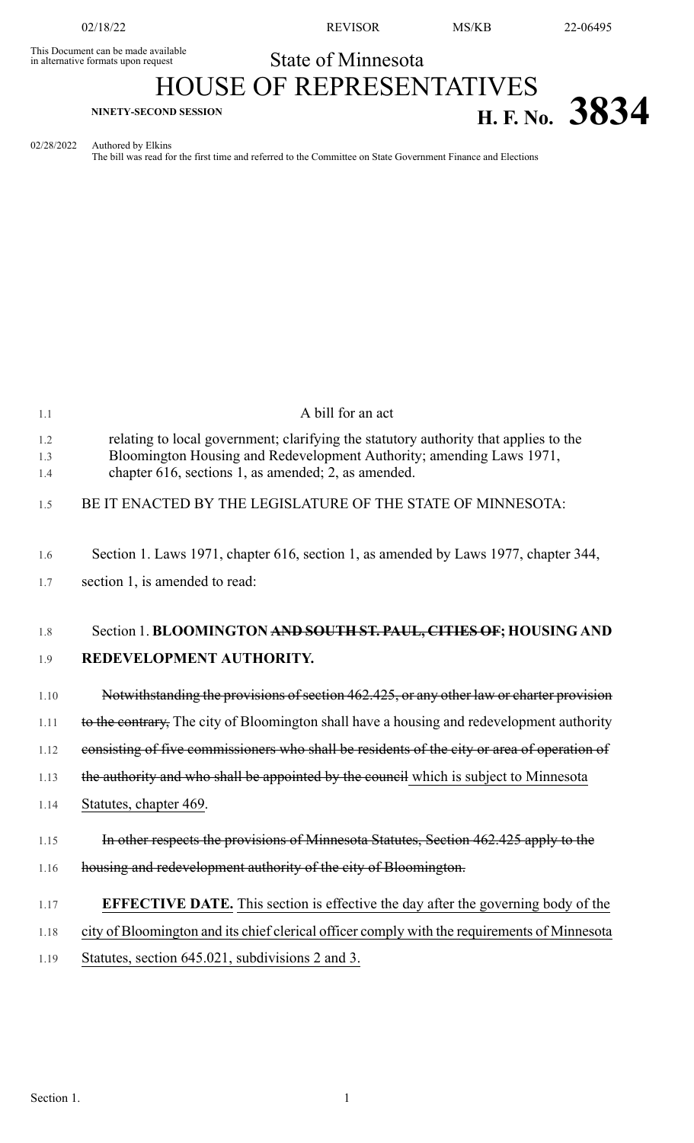This Document can be made available<br>in alternative formats upon request

02/18/22 REVISOR MS/KB 22-06495

## State of Minnesota HOUSE OF REPRESENTATIVES **EXECOND SESSION H. F. No. 3834**

02/28/2022 Authored by Elkins

The bill was read for the first time and referred to the Committee on State Government Finance and Elections

| 1.1               | A bill for an act                                                                                                                                                                                                   |
|-------------------|---------------------------------------------------------------------------------------------------------------------------------------------------------------------------------------------------------------------|
| 1.2<br>1.3<br>1.4 | relating to local government; clarifying the statutory authority that applies to the<br>Bloomington Housing and Redevelopment Authority; amending Laws 1971,<br>chapter 616, sections 1, as amended; 2, as amended. |
| 1.5               | BE IT ENACTED BY THE LEGISLATURE OF THE STATE OF MINNESOTA:                                                                                                                                                         |
| 1.6               | Section 1. Laws 1971, chapter 616, section 1, as amended by Laws 1977, chapter 344,                                                                                                                                 |
| 1.7               | section 1, is amended to read:                                                                                                                                                                                      |
| 1.8<br>1.9        | Section 1. BLOOMINGTON AND SOUTH ST. PAUL, CITIES OF; HOUSING AND<br>REDEVELOPMENT AUTHORITY.                                                                                                                       |
| 1.10              | Notwithstanding the provisions of section 462.425, or any other law or charter provision                                                                                                                            |
| 1.11              | to the contrary. The city of Bloomington shall have a housing and redevelopment authority                                                                                                                           |
| 1.12              | consisting of five commissioners who shall be residents of the city or area of operation of                                                                                                                         |
| 1.13              | the authority and who shall be appointed by the council which is subject to Minnesota                                                                                                                               |
| 1.14              | Statutes, chapter 469.                                                                                                                                                                                              |
| 1.15              | In other respects the provisions of Minnesota Statutes, Section 462.425 apply to the                                                                                                                                |
| 1.16              | housing and redevelopment authority of the city of Bloomington.                                                                                                                                                     |
| 1.17              | <b>EFFECTIVE DATE.</b> This section is effective the day after the governing body of the                                                                                                                            |
| 1.18              | city of Bloomington and its chief clerical officer comply with the requirements of Minnesota                                                                                                                        |
| 1.19              | Statutes, section 645.021, subdivisions 2 and 3.                                                                                                                                                                    |
|                   |                                                                                                                                                                                                                     |